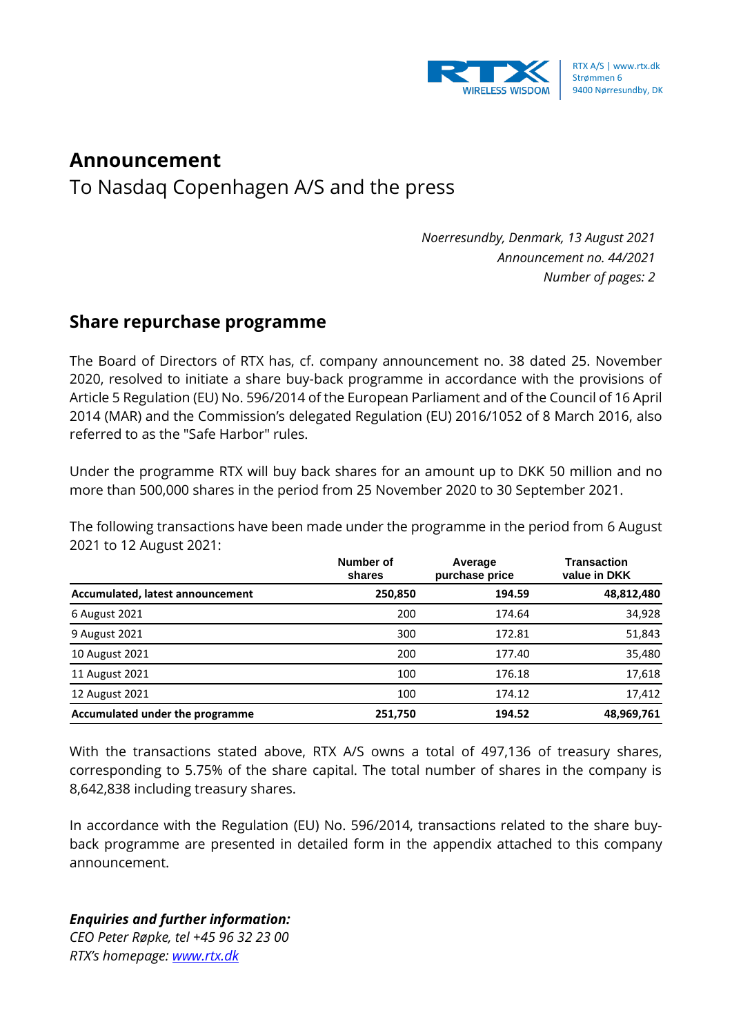

## **Announcement**

To Nasdaq Copenhagen A/S and the press

*Noerresundby, Denmark, 13 August 2021 Announcement no. 44/2021 Number of pages: 2*

## **Share repurchase programme**

The Board of Directors of RTX has, cf. company announcement no. 38 dated 25. November 2020, resolved to initiate a share buy-back programme in accordance with the provisions of Article 5 Regulation (EU) No. 596/2014 of the European Parliament and of the Council of 16 April 2014 (MAR) and the Commission's delegated Regulation (EU) 2016/1052 of 8 March 2016, also referred to as the "Safe Harbor" rules.

Under the programme RTX will buy back shares for an amount up to DKK 50 million and no more than 500,000 shares in the period from 25 November 2020 to 30 September 2021.

The following transactions have been made under the programme in the period from 6 August 2021 to 12 August 2021:

|                                  | Number of<br>shares | Average<br>purchase price | <b>Transaction</b><br>value in DKK |
|----------------------------------|---------------------|---------------------------|------------------------------------|
| Accumulated, latest announcement | 250,850             | 194.59                    | 48,812,480                         |
| 6 August 2021                    | 200                 | 174.64                    | 34,928                             |
| 9 August 2021                    | 300                 | 172.81                    | 51,843                             |
| 10 August 2021                   | 200                 | 177.40                    | 35,480                             |
| 11 August 2021                   | 100                 | 176.18                    | 17,618                             |
| 12 August 2021                   | 100                 | 174.12                    | 17,412                             |
| Accumulated under the programme  | 251,750             | 194.52                    | 48,969,761                         |

With the transactions stated above, RTX A/S owns a total of 497,136 of treasury shares, corresponding to 5.75% of the share capital. The total number of shares in the company is 8,642,838 including treasury shares.

In accordance with the Regulation (EU) No. 596/2014, transactions related to the share buyback programme are presented in detailed form in the appendix attached to this company announcement.

## *Enquiries and further information:*

*CEO Peter Røpke, tel +45 96 32 23 00 RTX's homepage: [www.rtx.dk](http://www.rtx.dk/)*